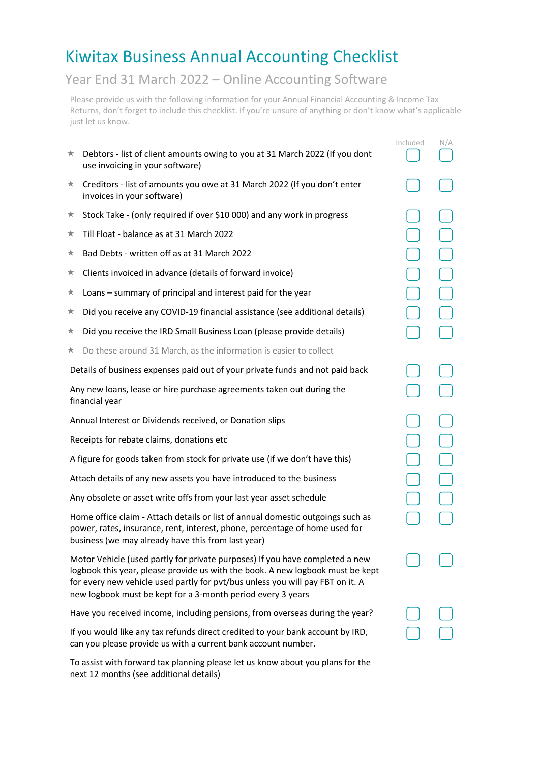## Kiwitax Business Annual Accounting Checklist

## Year End 31 March 2022 – Online Accounting Software

Please provide us with the following information for your Annual Financial Accounting & Income Tax Returns, don't forget to include this checklist. If you're unsure of anything or don't know what's applicable just let us know.

|                                                                                                                                                                                                                      |                                                                                                                                                                                                                                                                                                                 | Included | N/A |
|----------------------------------------------------------------------------------------------------------------------------------------------------------------------------------------------------------------------|-----------------------------------------------------------------------------------------------------------------------------------------------------------------------------------------------------------------------------------------------------------------------------------------------------------------|----------|-----|
| ★                                                                                                                                                                                                                    | Debtors - list of client amounts owing to you at 31 March 2022 (If you dont<br>use invoicing in your software)                                                                                                                                                                                                  |          |     |
| ★                                                                                                                                                                                                                    | Creditors - list of amounts you owe at 31 March 2022 (If you don't enter<br>invoices in your software)                                                                                                                                                                                                          |          |     |
| ★                                                                                                                                                                                                                    | Stock Take - (only required if over \$10 000) and any work in progress                                                                                                                                                                                                                                          |          |     |
| ★                                                                                                                                                                                                                    | Till Float - balance as at 31 March 2022                                                                                                                                                                                                                                                                        |          |     |
| ★                                                                                                                                                                                                                    | Bad Debts - written off as at 31 March 2022                                                                                                                                                                                                                                                                     |          |     |
| ★                                                                                                                                                                                                                    | Clients invoiced in advance (details of forward invoice)                                                                                                                                                                                                                                                        |          |     |
| ★                                                                                                                                                                                                                    | Loans - summary of principal and interest paid for the year                                                                                                                                                                                                                                                     |          |     |
| ★                                                                                                                                                                                                                    | Did you receive any COVID-19 financial assistance (see additional details)                                                                                                                                                                                                                                      |          |     |
| ★                                                                                                                                                                                                                    | Did you receive the IRD Small Business Loan (please provide details)                                                                                                                                                                                                                                            |          |     |
| ★                                                                                                                                                                                                                    | Do these around 31 March, as the information is easier to collect                                                                                                                                                                                                                                               |          |     |
|                                                                                                                                                                                                                      | Details of business expenses paid out of your private funds and not paid back                                                                                                                                                                                                                                   |          |     |
|                                                                                                                                                                                                                      | Any new loans, lease or hire purchase agreements taken out during the<br>financial year                                                                                                                                                                                                                         |          |     |
| Annual Interest or Dividends received, or Donation slips                                                                                                                                                             |                                                                                                                                                                                                                                                                                                                 |          |     |
| Receipts for rebate claims, donations etc                                                                                                                                                                            |                                                                                                                                                                                                                                                                                                                 |          |     |
|                                                                                                                                                                                                                      | A figure for goods taken from stock for private use (if we don't have this)                                                                                                                                                                                                                                     |          |     |
|                                                                                                                                                                                                                      | Attach details of any new assets you have introduced to the business                                                                                                                                                                                                                                            |          |     |
|                                                                                                                                                                                                                      | Any obsolete or asset write offs from your last year asset schedule                                                                                                                                                                                                                                             |          |     |
| Home office claim - Attach details or list of annual domestic outgoings such as<br>power, rates, insurance, rent, interest, phone, percentage of home used for<br>business (we may already have this from last year) |                                                                                                                                                                                                                                                                                                                 |          |     |
|                                                                                                                                                                                                                      | Motor Vehicle (used partly for private purposes) If you have completed a new<br>logbook this year, please provide us with the book. A new logbook must be kept<br>for every new vehicle used partly for pvt/bus unless you will pay FBT on it. A<br>new logbook must be kept for a 3-month period every 3 years |          |     |
|                                                                                                                                                                                                                      | Have you received income, including pensions, from overseas during the year?                                                                                                                                                                                                                                    |          |     |
|                                                                                                                                                                                                                      | If you would like any tax refunds direct credited to your bank account by IRD,<br>can you please provide us with a current bank account number.                                                                                                                                                                 |          |     |

To assist with forward tax planning please let us know about you plans for the next 12 months (see additional details)